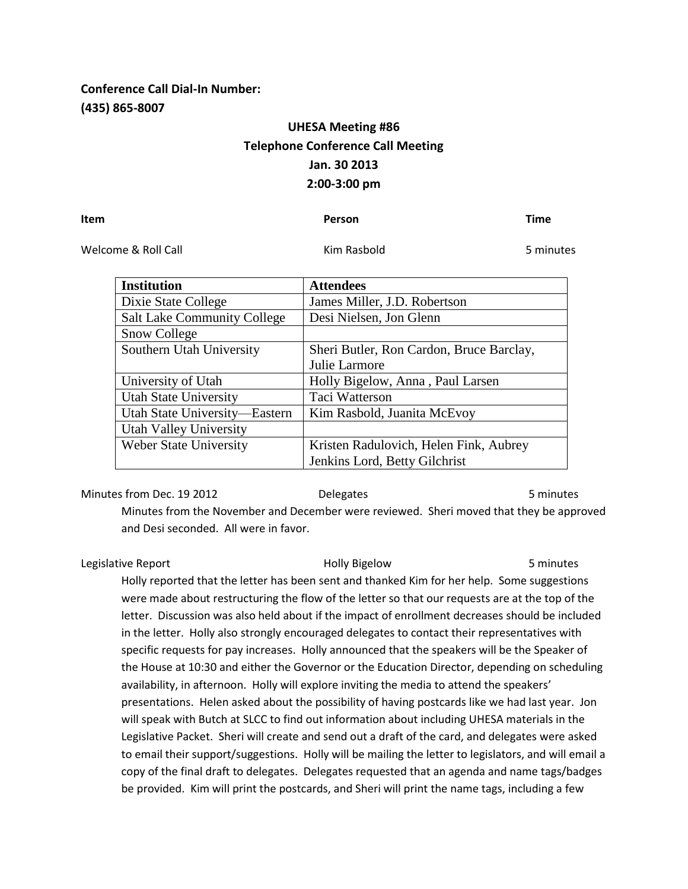# **Conference Call Dial-In Number: (435) 865-8007**

# **UHESA Meeting #86 Telephone Conference Call Meeting Jan. 30 2013 2:00-3:00 pm**

### **Item Person Time**

Welcome & Roll Call **Kim Rasbold** 6 Melcome & Roll Call **Kim Rasbold** 5 minutes

| <b>Institution</b>                 | <b>Attendees</b>                         |
|------------------------------------|------------------------------------------|
| Dixie State College                | James Miller, J.D. Robertson             |
| <b>Salt Lake Community College</b> | Desi Nielsen, Jon Glenn                  |
| Snow College                       |                                          |
| Southern Utah University           | Sheri Butler, Ron Cardon, Bruce Barclay, |
|                                    | Julie Larmore                            |
| University of Utah                 | Holly Bigelow, Anna, Paul Larsen         |
| <b>Utah State University</b>       | Taci Watterson                           |
| Utah State University-Eastern      | Kim Rasbold, Juanita McEvoy              |
| <b>Utah Valley University</b>      |                                          |
| <b>Weber State University</b>      | Kristen Radulovich, Helen Fink, Aubrey   |
|                                    | Jenkins Lord, Betty Gilchrist            |

Minutes from Dec. 19 2012 **Delegates** 5 minutes 5 minutes

Minutes from the November and December were reviewed. Sheri moved that they be approved and Desi seconded. All were in favor.

Legislative Report Holly Bigelow 5 minutes Holly reported that the letter has been sent and thanked Kim for her help. Some suggestions were made about restructuring the flow of the letter so that our requests are at the top of the letter. Discussion was also held about if the impact of enrollment decreases should be included in the letter. Holly also strongly encouraged delegates to contact their representatives with specific requests for pay increases. Holly announced that the speakers will be the Speaker of the House at 10:30 and either the Governor or the Education Director, depending on scheduling availability, in afternoon. Holly will explore inviting the media to attend the speakers' presentations. Helen asked about the possibility of having postcards like we had last year. Jon will speak with Butch at SLCC to find out information about including UHESA materials in the Legislative Packet. Sheri will create and send out a draft of the card, and delegates were asked to email their support/suggestions. Holly will be mailing the letter to legislators, and will email a copy of the final draft to delegates. Delegates requested that an agenda and name tags/badges be provided. Kim will print the postcards, and Sheri will print the name tags, including a few